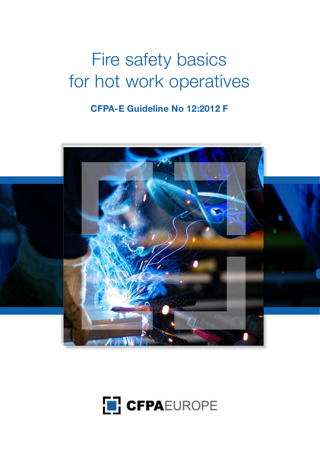# Fire safety basics for hot work operatives

# **CFPA-E Guideline No 12:2012 F**



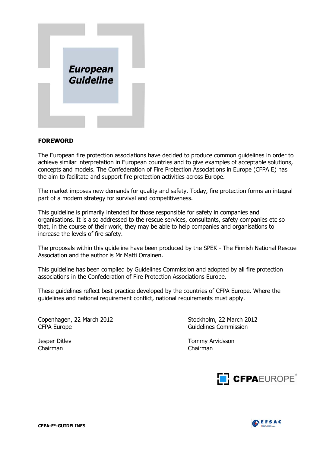

#### **FOREWORD**

The European fire protection associations have decided to produce common guidelines in order to achieve similar interpretation in European countries and to give examples of acceptable solutions, concepts and models. The Confederation of Fire Protection Associations in Europe (CFPA E) has the aim to facilitate and support fire protection activities across Europe.

The market imposes new demands for quality and safety. Today, fire protection forms an integral part of a modern strategy for survival and competitiveness.

This guideline is primarily intended for those responsible for safety in companies and organisations. It is also addressed to the rescue services, consultants, safety companies etc so that, in the course of their work, they may be able to help companies and organisations to increase the levels of fire safety.

The proposals within this guideline have been produced by the SPEK - The Finnish National Rescue Association and the author is Mr Matti Orrainen.

This guideline has been compiled by Guidelines Commission and adopted by all fire protection associations in the Confederation of Fire Protection Associations Europe.

These guidelines reflect best practice developed by the countries of CFPA Europe. Where the guidelines and national requirement conflict, national requirements must apply.

Copenhagen, 22 March 2012 Stockholm, 22 March 2012 CFPA Europe CFPA Europe Guidelines Commission

Chairman Chairman

Jesper Ditlev Tommy Arvidsson



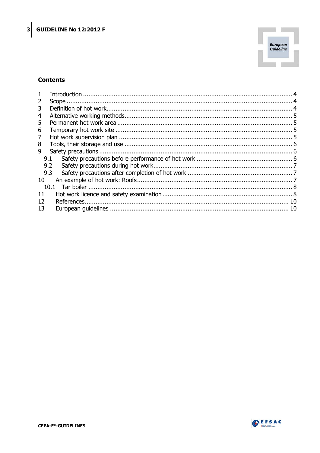

#### **Contents**

| 2  |     |  |  |  |  |  |
|----|-----|--|--|--|--|--|
| 3  |     |  |  |  |  |  |
| 4  |     |  |  |  |  |  |
| 5  |     |  |  |  |  |  |
| 6  |     |  |  |  |  |  |
| 7  |     |  |  |  |  |  |
| 8  |     |  |  |  |  |  |
| 9  |     |  |  |  |  |  |
|    | 9.1 |  |  |  |  |  |
|    | 9.2 |  |  |  |  |  |
|    | 9.3 |  |  |  |  |  |
| 10 |     |  |  |  |  |  |
|    |     |  |  |  |  |  |
| 11 |     |  |  |  |  |  |
| 12 |     |  |  |  |  |  |
| 13 |     |  |  |  |  |  |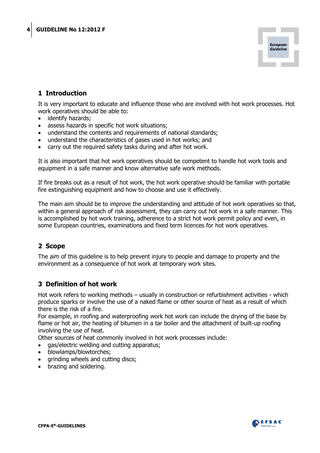

# <span id="page-3-0"></span>**1 Introduction**

It is very important to educate and influence those who are involved with hot work processes. Hot work operatives should be able to:

- identify hazards;
- assess hazards in specific hot work situations;
- understand the contents and requirements of national standards;
- understand the characteristics of gases used in hot works; and
- carry out the required safety tasks during and after hot work.

It is also important that hot work operatives should be competent to handle hot work tools and equipment in a safe manner and know alternative safe work methods.

If fire breaks out as a result of hot work, the hot work operative should be familiar with portable fire extinguishing equipment and how to choose and use it effectively.

The main aim should be to improve the understanding and attitude of hot work operatives so that, within a general approach of risk assessment, they can carry out hot work in a safe manner. This is accomplished by hot work training, adherence to a strict hot work permit policy and even, in some European countries, examinations and fixed term licences for hot work operatives.

# <span id="page-3-1"></span>**2 Scope**

The aim of this guideline is to help prevent injury to people and damage to property and the environment as a consequence of hot work at temporary work sites.

# <span id="page-3-2"></span>**3 Definition of hot work**

Hot work refers to working methods – usually in construction or refurbishment activities - which produce sparks or involve the use of a naked flame or other source of heat as a result of which there is the risk of a fire.

For example, in roofing and waterproofing work hot work can include the drying of the base by flame or hot air, the heating of bitumen in a tar boiler and the attachment of built-up roofing involving the use of heat.

Other sources of heat commonly involved in hot work processes include:

- gas/electric welding and cutting apparatus;
- blowlamps/blowtorches;
- grinding wheels and cutting discs;
- brazing and soldering.

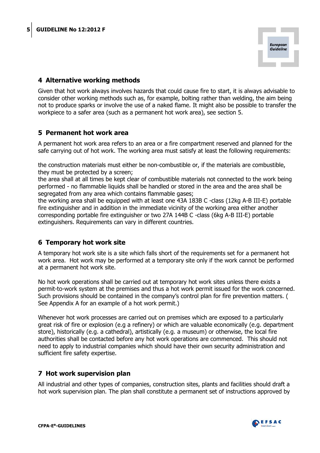

# <span id="page-4-0"></span>**4 Alternative working methods**

Given that hot work always involves hazards that could cause fire to start, it is always advisable to consider other working methods such as, for example, bolting rather than welding, the aim being not to produce sparks or involve the use of a naked flame. It might also be possible to transfer the workpiece to a safer area (such as a permanent hot work area), see section 5.

#### <span id="page-4-1"></span>**5 Permanent hot work area**

A permanent hot work area refers to an area or a fire compartment reserved and planned for the safe carrying out of hot work. The working area must satisfy at least the following requirements:

the construction materials must either be non-combustible or, if the materials are combustible, they must be protected by a screen;

the area shall at all times be kept clear of combustible materials not connected to the work being performed - no flammable liquids shall be handled or stored in the area and the area shall be segregated from any area which contains flammable gases;

the working area shall be equipped with at least one 43A 183B C -class (12kg A-B III-E) portable fire extinguisher and in addition in the immediate vicinity of the working area either another corresponding portable fire extinguisher or two 27A 144B C -class (6kg A-B III-E) portable extinguishers. Requirements can vary in different countries.

# <span id="page-4-2"></span>**6 Temporary hot work site**

A temporary hot work site is a site which falls short of the requirements set for a permanent hot work area. Hot work may be performed at a temporary site only if the work cannot be performed at a permanent hot work site.

No hot work operations shall be carried out at temporary hot work sites unless there exists a permit-to-work system at the premises and thus a hot work permit issued for the work concerned. Such provisions should be contained in the company's control plan for fire prevention matters. ( See Appendix A for an example of a hot work permit.)

Whenever hot work processes are carried out on premises which are exposed to a particularly great risk of fire or explosion (e.g a refinery) or which are valuable economically (e.g. department store), historically (e.g. a cathedral), artistically (e.g. a museum) or otherwise, the local fire authorities shall be contacted before any hot work operations are commenced. This should not need to apply to industrial companies which should have their own security administration and sufficient fire safety expertise.

# <span id="page-4-3"></span>**7 Hot work supervision plan**

All industrial and other types of companies, construction sites, plants and facilities should draft a hot work supervision plan. The plan shall constitute a permanent set of instructions approved by

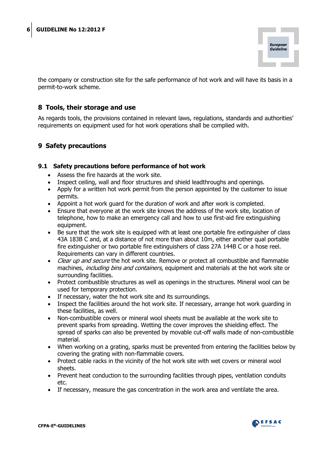

<span id="page-5-0"></span>the company or construction site for the safe performance of hot work and will have its basis in a permit-to-work scheme.

# **8 Tools, their storage and use**

As regards tools, the provisions contained in relevant laws, regulations, standards and authorities' requirements on equipment used for hot work operations shall be complied with.

# <span id="page-5-1"></span>**9 Safety precautions**

#### <span id="page-5-2"></span>**9.1 Safety precautions before performance of hot work**

- Assess the fire hazards at the work site.
- Inspect ceiling, wall and floor structures and shield leadthroughs and openings.
- Apply for a written hot work permit from the person appointed by the customer to issue permits.
- Appoint a hot work guard for the duration of work and after work is completed.
- Ensure that everyone at the work site knows the address of the work site, location of telephone, how to make an emergency call and how to use first-aid fire extinguishing equipment.
- Be sure that the work site is equipped with at least one portable fire extinguisher of class 43A 183B C and, at a distance of not more than about 10m, either another qual portable fire extinguisher or two portable fire extinguishers of class 27A 144B C or a hose reel. Requirements can vary in different countries.
- Clear up and secure the hot work site. Remove or protect all combustible and flammable machines, *including bins and containers*, equipment and materials at the hot work site or surrounding facilities.
- Protect combustible structures as well as openings in the structures. Mineral wool can be used for temporary protection.
- If necessary, water the hot work site and its surroundings.
- Inspect the facilities around the hot work site. If necessary, arrange hot work quarding in these facilities, as well.
- Non-combustible covers or mineral wool sheets must be available at the work site to prevent sparks from spreading. Wetting the cover improves the shielding effect. The spread of sparks can also be prevented by movable cut-off walls made of non-combustible material.
- When working on a grating, sparks must be prevented from entering the facilities below by covering the grating with non-flammable covers.
- Protect cable racks in the vicinity of the hot work site with wet covers or mineral wool sheets.
- Prevent heat conduction to the surrounding facilities through pipes, ventilation conduits etc.
- If necessary, measure the gas concentration in the work area and ventilate the area.

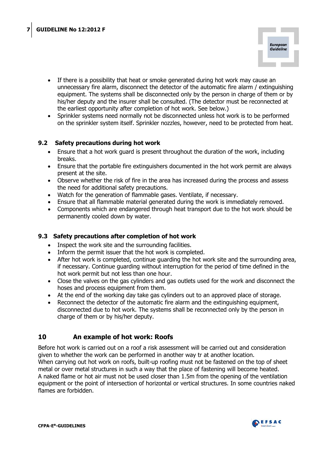

- If there is a possibility that heat or smoke generated during hot work may cause an unnecessary fire alarm, disconnect the detector of the automatic fire alarm / extinguishing equipment. The systems shall be disconnected only by the person in charge of them or by his/her deputy and the insurer shall be consulted. (The detector must be reconnected at the earliest opportunity after completion of hot work. See below.)
- <span id="page-6-0"></span>• Sprinkler systems need normally not be disconnected unless hot work is to be performed on the sprinkler system itself. Sprinkler nozzles, however, need to be protected from heat.

# **9.2 Safety precautions during hot work**

- Ensure that a hot work quard is present throughout the duration of the work, including breaks.
- Ensure that the portable fire extinguishers documented in the hot work permit are always present at the site.
- Observe whether the risk of fire in the area has increased during the process and assess the need for additional safety precautions.
- Watch for the generation of flammable gases. Ventilate, if necessary.
- Ensure that all flammable material generated during the work is immediately removed.
- Components which are endangered through heat transport due to the hot work should be permanently cooled down by water.

#### <span id="page-6-1"></span>**9.3 Safety precautions after completion of hot work**

- Inspect the work site and the surrounding facilities.
- Inform the permit issuer that the hot work is completed.
- After hot work is completed, continue quarding the hot work site and the surrounding area, if necessary. Continue guarding without interruption for the period of time defined in the hot work permit but not less than one hour.
- Close the valves on the gas cylinders and gas outlets used for the work and disconnect the hoses and process equipment from them.
- At the end of the working day take gas cylinders out to an approved place of storage.
- Reconnect the detector of the automatic fire alarm and the extinguishing equipment, disconnected due to hot work. The systems shall be reconnected only by the person in charge of them or by his/her deputy.

# <span id="page-6-2"></span>**10 An example of hot work: Roofs**

Before hot work is carried out on a roof a risk assessment will be carried out and consideration given to whether the work can be performed in another way tr at another location. When carrying out hot work on roofs, built-up roofing must not be fastened on the top of sheet metal or over metal structures in such a way that the place of fastening will become heated. A naked flame or hot air must not be used closer than 1.5m from the opening of the ventilation equipment or the point of intersection of horizontal or vertical structures. In some countries naked flames are forbidden.

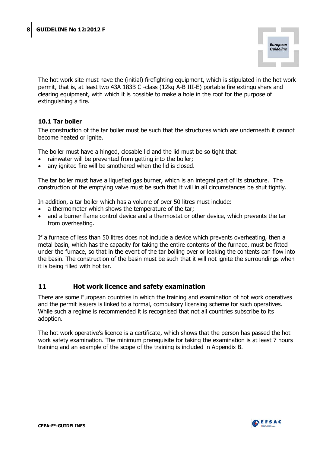

The hot work site must have the (initial) firefighting equipment, which is stipulated in the hot work permit, that is, at least two 43A 183B C -class (12kg A-B III-E) portable fire extinguishers and clearing equipment, with which it is possible to make a hole in the roof for the purpose of extinguishing a fire.

#### <span id="page-7-0"></span>**10.1 Tar boiler**

The construction of the tar boiler must be such that the structures which are underneath it cannot become heated or ignite.

The boiler must have a hinged, closable lid and the lid must be so tight that:

- rainwater will be prevented from getting into the boiler;
- any ignited fire will be smothered when the lid is closed.

The tar boiler must have a liquefied gas burner, which is an integral part of its structure. The construction of the emptying valve must be such that it will in all circumstances be shut tightly.

In addition, a tar boiler which has a volume of over 50 litres must include:

- a thermometer which shows the temperature of the tar;
- and a burner flame control device and a thermostat or other device, which prevents the tar from overheating.

If a furnace of less than 50 litres does not include a device which prevents overheating, then a metal basin, which has the capacity for taking the entire contents of the furnace, must be fitted under the furnace, so that in the event of the tar boiling over or leaking the contents can flow into the basin. The construction of the basin must be such that it will not ignite the surroundings when it is being filled with hot tar.

# <span id="page-7-1"></span>**11 Hot work licence and safety examination**

There are some European countries in which the training and examination of hot work operatives and the permit issuers is linked to a formal, compulsory licensing scheme for such operatives. While such a regime is recommended it is recognised that not all countries subscribe to its adoption.

The hot work operative's licence is a certificate, which shows that the person has passed the hot work safety examination. The minimum prerequisite for taking the examination is at least 7 hours training and an example of the scope of the training is included in Appendix B.

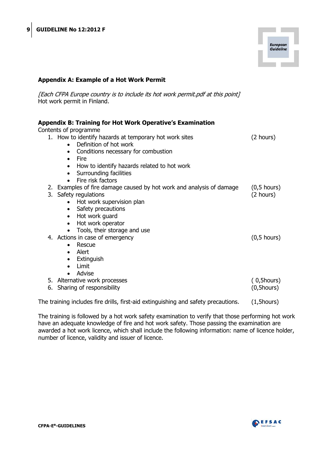

#### **Appendix A: Example of a Hot Work Permit**

[Each CFPA Europe country is to include its hot work permit.pdf at this point] Hot work permit in Finland.

| <b>Appendix B: Training for Hot Work Operative's Examination</b><br>Contents of programme |                       |
|-------------------------------------------------------------------------------------------|-----------------------|
| 1. How to identify hazards at temporary hot work sites                                    | (2 hours)             |
| Definition of hot work<br>$\bullet$                                                       |                       |
| Conditions necessary for combustion<br>$\bullet$                                          |                       |
| Fire<br>$\bullet$                                                                         |                       |
| How to identify hazards related to hot work                                               |                       |
| Surrounding facilities                                                                    |                       |
| Fire risk factors                                                                         |                       |
| 2. Examples of fire damage caused by hot work and analysis of damage                      | $(0,5 \text{ hours})$ |
| 3. Safety regulations                                                                     | (2 hours)             |
| Hot work supervision plan<br>$\bullet$                                                    |                       |
| Safety precautions<br>$\bullet$                                                           |                       |
| Hot work guard<br>$\bullet$                                                               |                       |
| Hot work operator<br>$\bullet$                                                            |                       |
| Tools, their storage and use                                                              |                       |
| 4. Actions in case of emergency                                                           | $(0,5 \text{ hours})$ |
| Rescue<br>$\bullet$                                                                       |                       |
| Alert<br>$\bullet$                                                                        |                       |
| Extinguish<br>$\bullet$                                                                   |                       |
| Limit<br>$\bullet$                                                                        |                       |
| Advise                                                                                    |                       |
| 5. Alternative work processes                                                             | $(0,5$ hours $)$      |
| 6. Sharing of responsibility                                                              | $(0, 5$ hours $)$     |
| The training includes fire drills, first-aid extinguishing and safety precautions.        | $(1, 5$ hours $)$     |

The training is followed by a hot work safety examination to verify that those performing hot work have an adequate knowledge of fire and hot work safety. Those passing the examination are awarded a hot work licence, which shall include the following information: name of licence holder, number of licence, validity and issuer of licence.